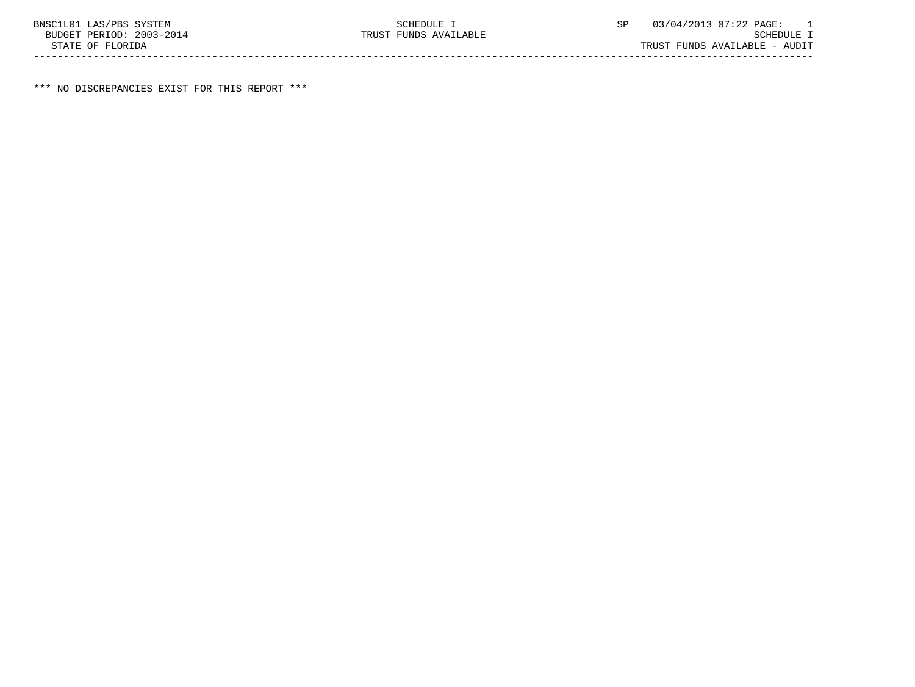\*\*\* NO DISCREPANCIES EXIST FOR THIS REPORT \*\*\*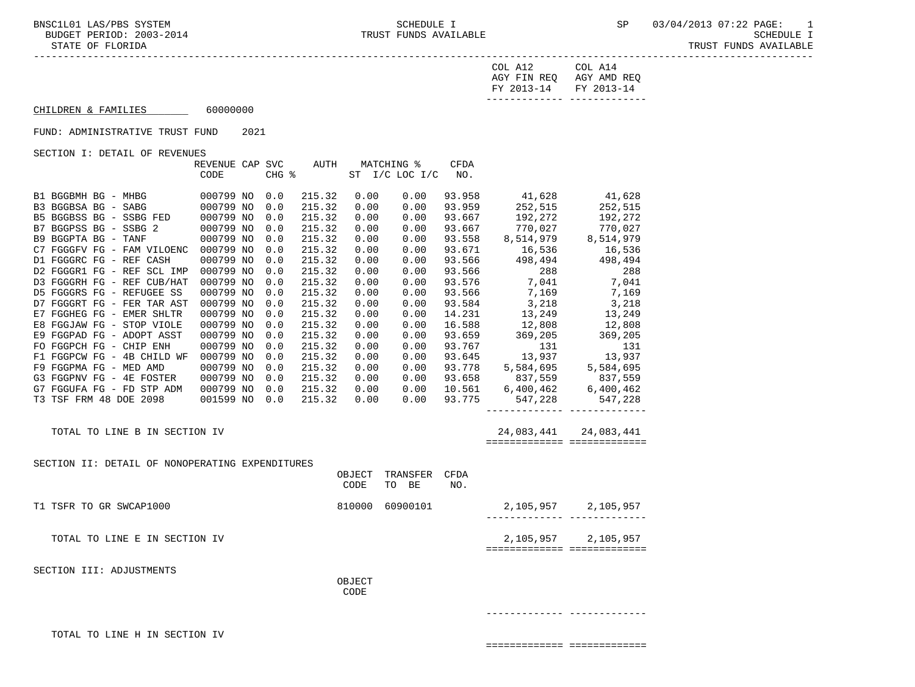COL A12 COL A14 AGY FIN REQ AGY AMD REQ FY 2013-14 FY 2013-14 ------------- -------------

# $CHILDREN & FAMILIES$  60000000

FUND: ADMINISTRATIVE TRUST FUND 2021

SECTION I: DETAIL OF REVENUES

|                                                 | REVENUE CAP SVC |       | AUTH   |        | MATCHING %     | <b>CFDA</b> |                                                                                                                                                                        |                               |
|-------------------------------------------------|-----------------|-------|--------|--------|----------------|-------------|------------------------------------------------------------------------------------------------------------------------------------------------------------------------|-------------------------------|
|                                                 | CODE            | CHG % |        |        | ST I/C LOC I/C | NO.         |                                                                                                                                                                        |                               |
|                                                 |                 |       |        |        |                |             |                                                                                                                                                                        |                               |
|                                                 |                 | 0.0   | 215.32 | 0.00   | 0.00           |             | 93.958 41,628 41,628<br>93.959 252,515 252,515                                                                                                                         |                               |
|                                                 |                 | 0.0   | 215.32 | 0.00   | 0.00           |             |                                                                                                                                                                        |                               |
|                                                 |                 | 0.0   | 215.32 | 0.00   | 0.00           |             | 93.667 192,272 192,272                                                                                                                                                 |                               |
| B7 BGGPSS BG - SSBG 2                           | 000799 NO       | 0.0   | 215.32 | 0.00   | 0.00           |             |                                                                                                                                                                        |                               |
| B9 BGGPTA BG - TANF                             | 000799 NO       | 0.0   | 215.32 | 0.00   | 0.00           |             | 93.667<br>93.667<br>93.558<br>8,514,979<br>93.671<br>16,536<br>93.566<br>498,494<br>498,494<br>498,494                                                                 |                               |
| C7 FGGGFV FG - FAM VILOENC 000799 NO            |                 | 0.0   | 215.32 | 0.00   | 0.00           |             |                                                                                                                                                                        |                               |
| D1 FGGGRC FG - REF CASH                         | 000799 NO       | 0.0   | 215.32 | 0.00   | 0.00           |             |                                                                                                                                                                        |                               |
| D2 FGGGR1 FG - REF SCL IMP                      | 000799 NO       | 0.0   | 215.32 | 0.00   | 0.00           |             | 93.566 288 288<br>93.576 7,041 7,041<br>93.566 7,169 7,169                                                                                                             |                               |
| D3 FGGGRH FG - REF CUB/HAT                      | 000799 NO       | 0.0   | 215.32 | 0.00   | 0.00           |             |                                                                                                                                                                        |                               |
| D5 FGGGRS FG - REFUGEE SS                       | 000799 NO       | 0.0   | 215.32 | 0.00   | 0.00           |             |                                                                                                                                                                        |                               |
| D7 FGGGRT FG - FER TAR AST                      | 000799 NO       | 0.0   | 215.32 | 0.00   | 0.00           |             | $\begin{array}{cccc} 93.584 & \qquad & 3,218 & \qquad & 3,218 \\ 14.231 & \qquad & 13,249 & \qquad & 13,249 \\ 16.588 & \qquad & 12,808 & \qquad & 12,808 \end{array}$ |                               |
| E7 FGGHEG FG - EMER SHLTR                       | 000799 NO       | 0.0   | 215.32 | 0.00   | 0.00           |             |                                                                                                                                                                        |                               |
| E8 FGGJAW FG - STOP VIOLE                       | 000799 NO       | 0.0   | 215.32 | 0.00   | 0.00           |             |                                                                                                                                                                        |                               |
| E9 FGGPAD FG - ADOPT ASST                       | 000799 NO       | 0.0   | 215.32 | 0.00   | 0.00           |             | $93.659$ $369,205$ $369,205$                                                                                                                                           |                               |
| FO FGGPCH FG - CHIP ENH                         | 000799 NO       | 0.0   | 215.32 | 0.00   | 0.00           |             |                                                                                                                                                                        |                               |
| F1 FGGPCW FG - 4B CHILD WF 000799 NO            |                 | 0.0   | 215.32 | 0.00   | 0.00           |             |                                                                                                                                                                        |                               |
| F9 FGGPMA FG - MED AMD                          | 000799 NO       | 0.0   | 215.32 | 0.00   | 0.00           |             | 93.767 131 131<br>93.645 13,937 13,937<br>93.778 5,584,695 5,584,695                                                                                                   |                               |
| G3 FGGPNV FG - 4E FOSTER                        | 000799 NO       | 0.0   | 215.32 | 0.00   | 0.00           |             |                                                                                                                                                                        |                               |
| G7 FGGUFA FG - FD STP ADM 000799 NO             |                 | 0.0   | 215.32 | 0.00   | 0.00           |             |                                                                                                                                                                        |                               |
| T3 TSF FRM 48 DOE 2098 001599 NO 0.0            |                 |       | 215.32 | 0.00   | 0.00           |             | 93.658 837,559 837,559<br>10.561 6,400,462 6,400,462<br>93.775 547,228 547,228                                                                                         |                               |
|                                                 |                 |       |        |        |                |             |                                                                                                                                                                        |                               |
|                                                 |                 |       |        |        |                |             |                                                                                                                                                                        |                               |
| TOTAL TO LINE B IN SECTION IV                   |                 |       |        |        |                |             |                                                                                                                                                                        | 24,083,441 24,083,441         |
|                                                 |                 |       |        |        |                |             |                                                                                                                                                                        | ============================= |
|                                                 |                 |       |        |        |                |             |                                                                                                                                                                        |                               |
| SECTION II: DETAIL OF NONOPERATING EXPENDITURES |                 |       |        |        |                |             |                                                                                                                                                                        |                               |
|                                                 |                 |       |        | OBJECT | TRANSFER       | CFDA        |                                                                                                                                                                        |                               |
|                                                 |                 |       |        | CODE   | TO BE          | NO.         |                                                                                                                                                                        |                               |
|                                                 |                 |       |        |        |                |             |                                                                                                                                                                        |                               |
| T1 TSFR TO GR SWCAP1000                         |                 |       |        |        |                |             | 810000 60900101 2,105,957 2,105,957                                                                                                                                    |                               |
|                                                 |                 |       |        |        |                |             |                                                                                                                                                                        |                               |
|                                                 |                 |       |        |        |                |             |                                                                                                                                                                        |                               |
| TOTAL TO LINE E IN SECTION IV                   |                 |       |        |        |                |             |                                                                                                                                                                        | 2, 105, 957 2, 105, 957       |
|                                                 |                 |       |        |        |                |             |                                                                                                                                                                        | ============================  |
|                                                 |                 |       |        |        |                |             |                                                                                                                                                                        |                               |
| SECTION III: ADJUSTMENTS                        |                 |       |        |        |                |             |                                                                                                                                                                        |                               |
|                                                 |                 |       |        | OBJECT |                |             |                                                                                                                                                                        |                               |
|                                                 |                 |       |        | CODE   |                |             |                                                                                                                                                                        |                               |
|                                                 |                 |       |        |        |                |             |                                                                                                                                                                        |                               |
|                                                 |                 |       |        |        |                |             |                                                                                                                                                                        |                               |
|                                                 |                 |       |        |        |                |             |                                                                                                                                                                        |                               |

TOTAL TO LINE H IN SECTION IV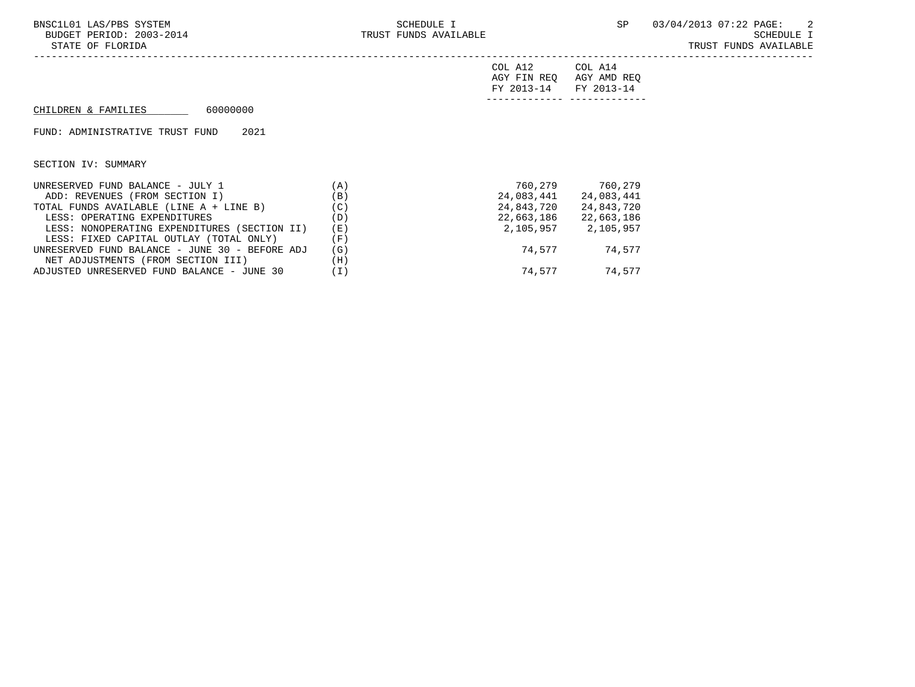| FY 2013-14 FY 2013-14   |  |
|-------------------------|--|
| AGY FIN REQ AGY AMD REQ |  |
| COL A12<br>COL A14      |  |

# $CHILDREN & FAMILIES$  60000000

FUND: ADMINISTRATIVE TRUST FUND 2021

| UNRESERVED FUND BALANCE - JULY 1               | ΆI                | 760,279    | 760,279    |
|------------------------------------------------|-------------------|------------|------------|
| ADD: REVENUES (FROM SECTION I)                 | (B)               | 24,083,441 | 24,083,441 |
| TOTAL FUNDS AVAILABLE (LINE A + LINE B)        | $^{\prime}$ C $)$ | 24,843,720 | 24,843,720 |
| LESS: OPERATING EXPENDITURES                   | (D)               | 22,663,186 | 22,663,186 |
| LESS: NONOPERATING EXPENDITURES (SECTION II)   | (E)               | 2,105,957  | 2,105,957  |
| LESS: FIXED CAPITAL OUTLAY (TOTAL ONLY)        | 'F)               |            |            |
| UNRESERVED FUND BALANCE - JUNE 30 - BEFORE ADJ | (G)               | 74.577     | 74,577     |
| NET ADJUSTMENTS (FROM SECTION III)             | (H)               |            |            |
| ADJUSTED UNRESERVED FUND BALANCE - JUNE 30     |                   | 74.577     | 74,577     |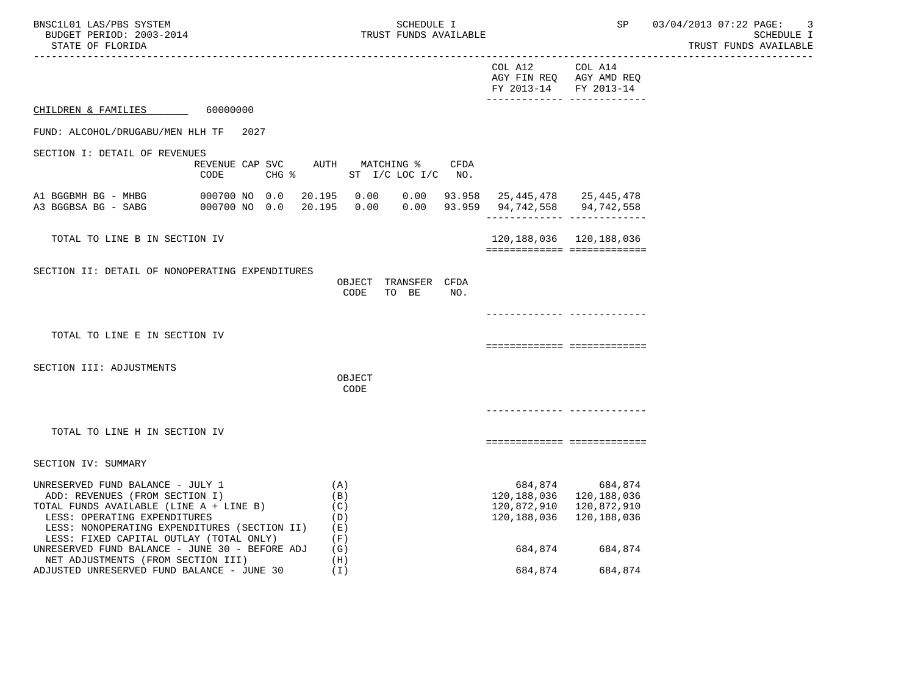| BNSC1L01 LAS/PBS SYSTEM<br>BUDGET PERIOD: 2003-2014<br>STATE OF FLORIDA                                                                                                                                                                  |                                                            |                                                                                                          | SCHEDULE I<br>TRUST FUNDS AVAILABLE |                                                                                       | SP                                 | 03/04/2013 07:22 PAGE:<br>-3<br>SCHEDULE I<br>TRUST FUNDS AVAILABLE |
|------------------------------------------------------------------------------------------------------------------------------------------------------------------------------------------------------------------------------------------|------------------------------------------------------------|----------------------------------------------------------------------------------------------------------|-------------------------------------|---------------------------------------------------------------------------------------|------------------------------------|---------------------------------------------------------------------|
| ----------------------                                                                                                                                                                                                                   |                                                            |                                                                                                          |                                     | COL A12<br>FY 2013-14 FY 2013-14                                                      | COL A14<br>AGY FIN REQ AGY AMD REQ |                                                                     |
| CHILDREN & FAMILIES                                                                                                                                                                                                                      | 60000000                                                   |                                                                                                          |                                     |                                                                                       |                                    |                                                                     |
| FUND: ALCOHOL/DRUGABU/MEN HLH TF                                                                                                                                                                                                         | 2027                                                       |                                                                                                          |                                     |                                                                                       |                                    |                                                                     |
| SECTION I: DETAIL OF REVENUES                                                                                                                                                                                                            | REVENUE CAP SVC AUTH MATCHING %<br>CODE<br>$CHG$ $\approx$ | ST I/C LOC I/C NO.                                                                                       | CFDA                                |                                                                                       |                                    |                                                                     |
| A1 BGGBMH BG - MHBG<br>A3 BGGBSA BG - SABG                                                                                                                                                                                               | 000700 NO 0.0<br>000700 NO 0.0                             | 20.195  0.00  0.00  93.958  25,445,478  25,445,478<br>20.195  0.00  0.00  93.959  94,742,558  94,742,558 |                                     |                                                                                       | ________________________________   |                                                                     |
| TOTAL TO LINE B IN SECTION IV                                                                                                                                                                                                            |                                                            |                                                                                                          |                                     | 120,188,036  120,188,036                                                              | ============================       |                                                                     |
| SECTION II: DETAIL OF NONOPERATING EXPENDITURES                                                                                                                                                                                          |                                                            | OBJECT TRANSFER CFDA<br>CODE<br>TO BE                                                                    | NO.                                 |                                                                                       |                                    |                                                                     |
|                                                                                                                                                                                                                                          |                                                            |                                                                                                          |                                     |                                                                                       | -------------- --------------      |                                                                     |
| TOTAL TO LINE E IN SECTION IV                                                                                                                                                                                                            |                                                            |                                                                                                          |                                     |                                                                                       | ===========================        |                                                                     |
| SECTION III: ADJUSTMENTS                                                                                                                                                                                                                 |                                                            | OBJECT<br>CODE                                                                                           |                                     |                                                                                       |                                    |                                                                     |
|                                                                                                                                                                                                                                          |                                                            |                                                                                                          |                                     |                                                                                       |                                    |                                                                     |
| TOTAL TO LINE H IN SECTION IV                                                                                                                                                                                                            |                                                            |                                                                                                          |                                     |                                                                                       | ============================       |                                                                     |
| SECTION IV: SUMMARY                                                                                                                                                                                                                      |                                                            |                                                                                                          |                                     |                                                                                       |                                    |                                                                     |
| UNRESERVED FUND BALANCE - JULY 1<br>ADD: REVENUES (FROM SECTION I)<br>TOTAL FUNDS AVAILABLE (LINE A + LINE B)<br>LESS: OPERATING EXPENDITURES<br>LESS: NONOPERATING EXPENDITURES (SECTION II)<br>LESS: FIXED CAPITAL OUTLAY (TOTAL ONLY) |                                                            | (A)<br>(B)<br>(C)<br>(D)<br>(E)<br>(F)                                                                   |                                     | 120, 188, 036 120, 188, 036<br>120,872,910 120,872,910<br>120, 188, 036 120, 188, 036 | 684,874 684,874                    |                                                                     |
| UNRESERVED FUND BALANCE - JUNE 30 - BEFORE ADJ<br>NET ADJUSTMENTS (FROM SECTION III)                                                                                                                                                     |                                                            | (G)<br>(H)                                                                                               |                                     |                                                                                       | 684,874 684,874                    |                                                                     |
| ADJUSTED UNRESERVED FUND BALANCE - JUNE 30                                                                                                                                                                                               |                                                            | (I)                                                                                                      |                                     | 684,874                                                                               | 684,874                            |                                                                     |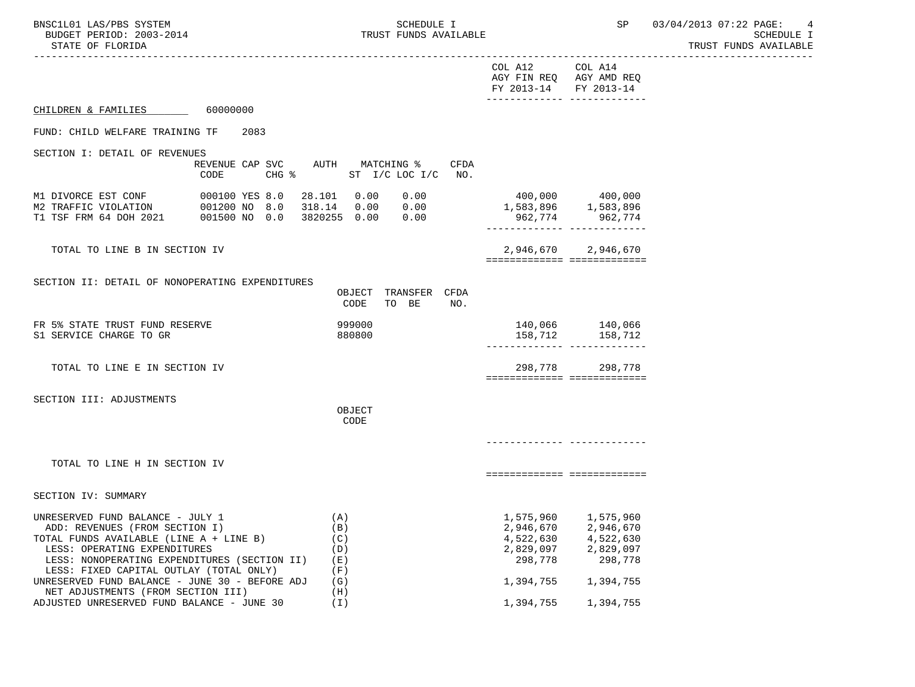TRUST FUNDS AVAILABLE

| STATE OF FLORIDA                                                                                                                                                                                                                         |                                              |                                                                                                 |                                                                                                     | TRUST FUNDS AVAILABLE |
|------------------------------------------------------------------------------------------------------------------------------------------------------------------------------------------------------------------------------------------|----------------------------------------------|-------------------------------------------------------------------------------------------------|-----------------------------------------------------------------------------------------------------|-----------------------|
|                                                                                                                                                                                                                                          |                                              | COL A12<br>AGY FIN REQ AGY AMD REQ<br>FY 2013-14 FY 2013-14<br>________________________________ | COL A14                                                                                             |                       |
| CHILDREN & FAMILIES 60000000                                                                                                                                                                                                             |                                              |                                                                                                 |                                                                                                     |                       |
| FUND: CHILD WELFARE TRAINING TF<br>2083                                                                                                                                                                                                  |                                              |                                                                                                 |                                                                                                     |                       |
| SECTION I: DETAIL OF REVENUES<br>REVENUE CAP SVC AUTH MATCHING %<br>CODE                                                                                                                                                                 | CFDA<br>CHG % ST I/C LOC I/C NO.             |                                                                                                 |                                                                                                     |                       |
| M1 DIVORCE EST CONF 000100 YES 8.0 28.101 0.00 0.00<br>M2 TRAFFIC VIOLATION 001200 NO 8.0 318.14 0.00 0.00<br>T1 TSF FRM 64 DOH 2021 001500 NO 0.0 3820255 0.00 0.00                                                                     |                                              | 400,000 400,000<br>1,583,896 1,583,896<br>962,774 962,774                                       |                                                                                                     |                       |
| TOTAL TO LINE B IN SECTION IV                                                                                                                                                                                                            |                                              | ============================                                                                    | 2,946,670 2,946,670                                                                                 |                       |
| SECTION II: DETAIL OF NONOPERATING EXPENDITURES                                                                                                                                                                                          | OBJECT TRANSFER CFDA<br>CODE<br>TO BE<br>NO. |                                                                                                 |                                                                                                     |                       |
| FR 5% STATE TRUST FUND RESERVE<br>S1 SERVICE CHARGE TO GR                                                                                                                                                                                | 999000<br>880800                             | ------------- -------------                                                                     | 140,066 140,066<br>158,712 158,712                                                                  |                       |
| TOTAL TO LINE E IN SECTION IV                                                                                                                                                                                                            |                                              | ============================                                                                    | 298,778 298,778                                                                                     |                       |
| SECTION III: ADJUSTMENTS                                                                                                                                                                                                                 | OBJECT<br>CODE                               |                                                                                                 |                                                                                                     |                       |
| TOTAL TO LINE H IN SECTION IV                                                                                                                                                                                                            |                                              |                                                                                                 |                                                                                                     |                       |
|                                                                                                                                                                                                                                          |                                              | ===========================                                                                     |                                                                                                     |                       |
| SECTION IV: SUMMARY                                                                                                                                                                                                                      |                                              |                                                                                                 |                                                                                                     |                       |
| UNRESERVED FUND BALANCE - JULY 1<br>ADD: REVENUES (FROM SECTION I)<br>TOTAL FUNDS AVAILABLE (LINE A + LINE B)<br>LESS: OPERATING EXPENDITURES<br>LESS: NONOPERATING EXPENDITURES (SECTION II)<br>LESS: FIXED CAPITAL OUTLAY (TOTAL ONLY) | (A)<br>(B)<br>(C)<br>(D)<br>(E)<br>(F)       | 298,778                                                                                         | 1,575,960 1,575,960<br>2,946,670 2,946,670<br>4,522,630 4,522,630<br>2,829,097 2,829,097<br>298,778 |                       |
| UNRESERVED FUND BALANCE - JUNE 30 - BEFORE ADJ<br>NET ADJUSTMENTS (FROM SECTION III)<br>ADJUSTED UNRESERVED FUND BALANCE - JUNE 30                                                                                                       | (G)<br>(H)<br>(I)                            | 1,394,755                                                                                       | 1,394,755 1,394,755<br>1,394,755                                                                    |                       |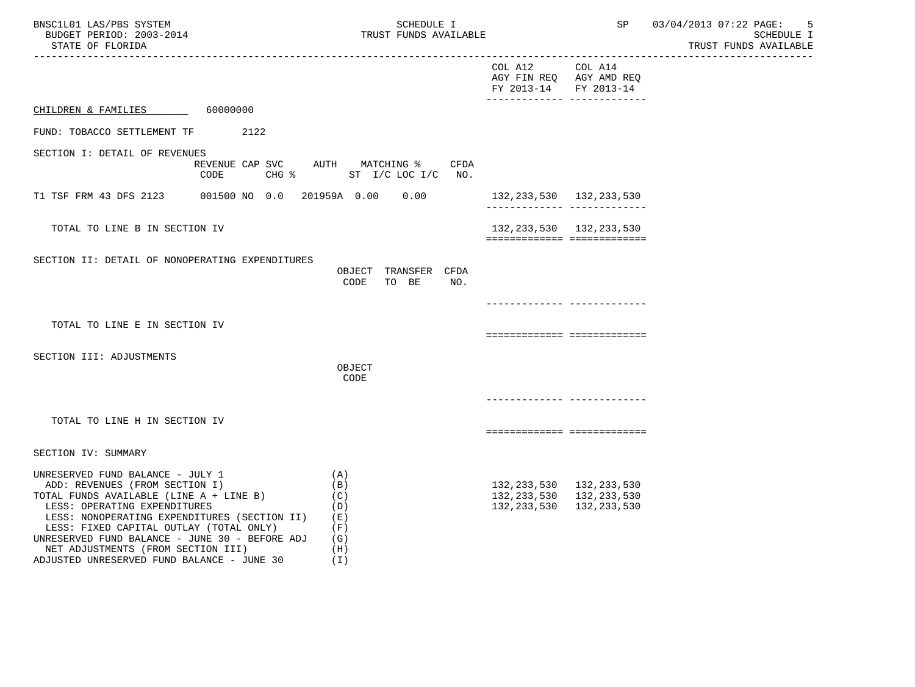| BNSC1L01 LAS/PBS SYSTEM<br>BUDGET PERIOD: 2003-2014<br>STATE OF FLORIDA                                                                                                                                                                                                                                                                                                        | SCHEDULE I<br>TRUST FUNDS AVAILABLE                              |                                          |                                                                                           | SP 03/04/2013 07:22 PAGE:<br>5<br>SCHEDULE I<br>TRUST FUNDS AVAILABLE |
|--------------------------------------------------------------------------------------------------------------------------------------------------------------------------------------------------------------------------------------------------------------------------------------------------------------------------------------------------------------------------------|------------------------------------------------------------------|------------------------------------------|-------------------------------------------------------------------------------------------|-----------------------------------------------------------------------|
|                                                                                                                                                                                                                                                                                                                                                                                |                                                                  | COL A12 COL A14<br>FY 2013-14 FY 2013-14 | AGY FIN REQ AGY AMD REQ                                                                   |                                                                       |
| CHILDREN & FAMILIES 60000000                                                                                                                                                                                                                                                                                                                                                   |                                                                  |                                          |                                                                                           |                                                                       |
| FUND: TOBACCO SETTLEMENT TF 2122                                                                                                                                                                                                                                                                                                                                               |                                                                  |                                          |                                                                                           |                                                                       |
| SECTION I: DETAIL OF REVENUES<br>CODE                                                                                                                                                                                                                                                                                                                                          | REVENUE CAP SVC AUTH MATCHING % CFDA<br>CHG % ST I/C LOC I/C NO. |                                          |                                                                                           |                                                                       |
|                                                                                                                                                                                                                                                                                                                                                                                |                                                                  | 132,233,530 132,233,530                  |                                                                                           |                                                                       |
| TOTAL TO LINE B IN SECTION IV                                                                                                                                                                                                                                                                                                                                                  |                                                                  |                                          | 132, 233, 530 132, 233, 530<br>============================                               |                                                                       |
| SECTION II: DETAIL OF NONOPERATING EXPENDITURES                                                                                                                                                                                                                                                                                                                                | OBJECT TRANSFER CFDA<br>CODE<br>TO BE<br>NO.                     |                                          |                                                                                           |                                                                       |
|                                                                                                                                                                                                                                                                                                                                                                                |                                                                  |                                          | ____________ ____________                                                                 |                                                                       |
| TOTAL TO LINE E IN SECTION IV                                                                                                                                                                                                                                                                                                                                                  |                                                                  |                                          | ===========================                                                               |                                                                       |
| SECTION III: ADJUSTMENTS                                                                                                                                                                                                                                                                                                                                                       | OBJECT<br>CODE                                                   |                                          |                                                                                           |                                                                       |
|                                                                                                                                                                                                                                                                                                                                                                                |                                                                  |                                          |                                                                                           |                                                                       |
| TOTAL TO LINE H IN SECTION IV                                                                                                                                                                                                                                                                                                                                                  |                                                                  |                                          | ===========================                                                               |                                                                       |
| SECTION IV: SUMMARY                                                                                                                                                                                                                                                                                                                                                            |                                                                  |                                          |                                                                                           |                                                                       |
| UNRESERVED FUND BALANCE - JULY 1<br>ADD: REVENUES (FROM SECTION I)<br>TOTAL FUNDS AVAILABLE (LINE A + LINE B)<br>LESS: OPERATING EXPENDITURES<br>LESS: NONOPERATING EXPENDITURES (SECTION II)<br>LESS: FIXED CAPITAL OUTLAY (TOTAL ONLY)<br>UNRESERVED FUND BALANCE - JUNE 30 - BEFORE ADJ<br>NET ADJUSTMENTS (FROM SECTION III)<br>ADJUSTED UNRESERVED FUND BALANCE - JUNE 30 | (A)<br>(B)<br>(C)<br>(D)<br>( E )<br>(F)<br>(G)<br>(H)<br>(T)    |                                          | 132, 233, 530 132, 233, 530<br>132, 233, 530 132, 233, 530<br>132, 233, 530 132, 233, 530 |                                                                       |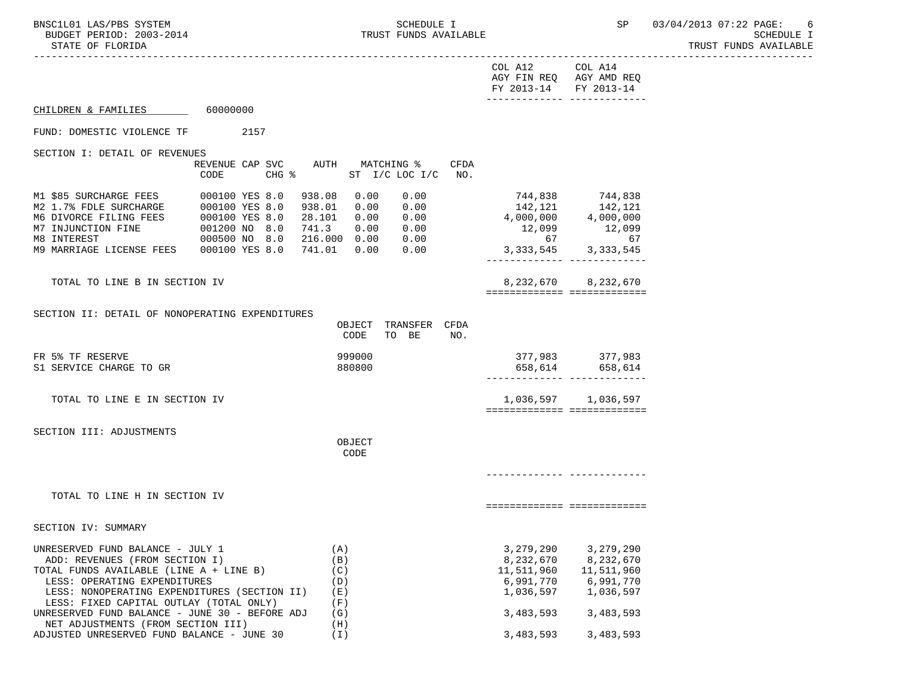TRUST FUNDS AVAILABLE

|                                                                                                                                               |                                                                                |                                                                                                | COL A12 COL A14<br>AGY FIN REQ AGY AMD REQ<br>FY 2013-14 FY 2013-14<br>-------------- -------------                    |                                    |  |
|-----------------------------------------------------------------------------------------------------------------------------------------------|--------------------------------------------------------------------------------|------------------------------------------------------------------------------------------------|------------------------------------------------------------------------------------------------------------------------|------------------------------------|--|
| CHILDREN & FAMILIES 60000000                                                                                                                  |                                                                                |                                                                                                |                                                                                                                        |                                    |  |
| FUND: DOMESTIC VIOLENCE TF                                                                                                                    | 2157                                                                           |                                                                                                |                                                                                                                        |                                    |  |
| SECTION I: DETAIL OF REVENUES                                                                                                                 |                                                                                |                                                                                                |                                                                                                                        |                                    |  |
|                                                                                                                                               | REVENUE CAP SVC AUTH MATCHING %<br>CODE<br>$CHG$ $\approx$                     | CFDA<br>ST $I/C$ LOC $I/C$<br>NO <sub>z</sub>                                                  |                                                                                                                        |                                    |  |
| M1 \$85 SURCHARGE FEES<br>M2 1.7% FDLE SURCHARGE 000100 YES 8.0<br>M6 DIVORCE FILING FEES 000100 YES 8.0<br>M7 INJUNCTION FINE<br>M8 INTEREST | 000100 YES 8.0<br>938.08<br>$001200 \text{ NO } 8.0$<br>000500 NO 8.0<br>741.3 | 0.00<br>0.00<br>938.01  0.00  0.00<br>28.101  0.00<br>0.00<br>0.00 0.00<br>216.000  0.00  0.00 | 744,838 744,838<br>$142,121$ $142,121$<br>4,000,000 $4,000,000$<br>12,099 12,099<br>$67$<br>3, 333, 545<br>3, 333, 545 | 67                                 |  |
| M9 MARRIAGE LICENSE FEES 000100 YES 8.0                                                                                                       |                                                                                | 741.01  0.00<br>0.00                                                                           |                                                                                                                        |                                    |  |
| TOTAL TO LINE B IN SECTION IV                                                                                                                 |                                                                                |                                                                                                | ============================                                                                                           | 8, 232, 670 8, 232, 670            |  |
|                                                                                                                                               |                                                                                |                                                                                                |                                                                                                                        |                                    |  |
| SECTION II: DETAIL OF NONOPERATING EXPENDITURES                                                                                               |                                                                                | OBJECT TRANSFER CFDA<br>CODE<br>TO BE<br>NO.                                                   |                                                                                                                        |                                    |  |
| FR 5% TF RESERVE<br>S1 SERVICE CHARGE TO GR                                                                                                   |                                                                                | 999000<br>880800                                                                               |                                                                                                                        | 377,983 377,983<br>658,614 658,614 |  |
| TOTAL TO LINE E IN SECTION IV                                                                                                                 |                                                                                |                                                                                                | ============================                                                                                           | 1,036,597 1,036,597                |  |
|                                                                                                                                               |                                                                                |                                                                                                |                                                                                                                        |                                    |  |
| SECTION III: ADJUSTMENTS                                                                                                                      |                                                                                | OBJECT<br>CODE                                                                                 |                                                                                                                        |                                    |  |
|                                                                                                                                               |                                                                                |                                                                                                |                                                                                                                        |                                    |  |
| TOTAL TO LINE H IN SECTION IV                                                                                                                 |                                                                                |                                                                                                | ===========================                                                                                            |                                    |  |
| SECTION IV: SUMMARY                                                                                                                           |                                                                                |                                                                                                |                                                                                                                        |                                    |  |
| UNRESERVED FUND BALANCE - JULY 1                                                                                                              |                                                                                | (A)                                                                                            | 3,279,290                                                                                                              | 3,279,290                          |  |
| ADD: REVENUES (FROM SECTION I)                                                                                                                |                                                                                | (B)                                                                                            | 8,232,670                                                                                                              | 8,232,670                          |  |
| TOTAL FUNDS AVAILABLE (LINE A + LINE B)                                                                                                       |                                                                                | (C)                                                                                            | 11,511,960                                                                                                             | 11,511,960                         |  |
| LESS: OPERATING EXPENDITURES                                                                                                                  |                                                                                | (D)                                                                                            | 6,991,770                                                                                                              | 6,991,770                          |  |
| LESS: NONOPERATING EXPENDITURES (SECTION II)<br>LESS: FIXED CAPITAL OUTLAY (TOTAL ONLY)                                                       |                                                                                | (E)<br>(F)                                                                                     | 1,036,597                                                                                                              | 1,036,597                          |  |
| UNRESERVED FUND BALANCE - JUNE 30 - BEFORE ADJ<br>NET ADJUSTMENTS (FROM SECTION III)                                                          |                                                                                | (G)<br>(H)                                                                                     | 3,483,593                                                                                                              | 3,483,593                          |  |
| ADJUSTED UNRESERVED FUND BALANCE - JUNE 30                                                                                                    |                                                                                | (I)                                                                                            | 3,483,593                                                                                                              | 3,483,593                          |  |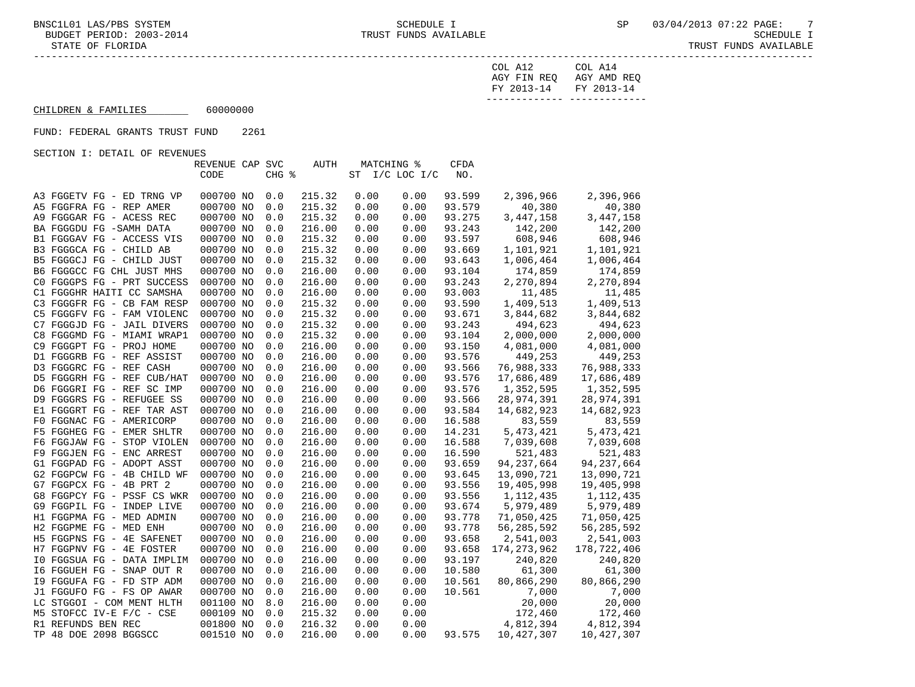| FY 2013-14 FY 2013-14 |                         |
|-----------------------|-------------------------|
|                       | AGY FIN REQ AGY AMD REQ |
| COL A12               | COL A14                 |

# $\text{CHILDREN}$  & FAMILIES 60000000

#### FUND: FEDERAL GRANTS TRUST FUND 2261

SECTION I: DETAIL OF REVENUES

|                            | REVENUE CAP SVC |       | <b>AUTH</b> |      | MATCHING %     | <b>CFDA</b> |               |              |
|----------------------------|-----------------|-------|-------------|------|----------------|-------------|---------------|--------------|
|                            | CODE            | CHG % |             |      | ST I/C LOC I/C | NO.         |               |              |
|                            |                 |       |             |      |                |             |               |              |
| A3 FGGETV FG - ED TRNG VP  | 000700 NO       | 0.0   | 215.32      | 0.00 | 0.00           | 93.599      | 2,396,966     | 2,396,966    |
| A5 FGGFRA FG - REP AMER    | 000700 NO       | 0.0   | 215.32      | 0.00 | 0.00           | 93.579      | 40,380        | 40,380       |
| A9 FGGGAR FG - ACESS REC   | 000700 NO       | 0.0   | 215.32      | 0.00 | 0.00           | 93.275      | 3,447,158     | 3,447,158    |
| BA FGGGDU FG -SAMH DATA    | 000700 NO       | 0.0   | 216.00      | 0.00 | 0.00           | 93.243      | 142,200       | 142,200      |
| B1 FGGGAV FG - ACCESS VIS  | 000700 NO       | 0.0   | 215.32      | 0.00 | 0.00           | 93.597      | 608,946       | 608,946      |
| B3 FGGGCA FG - CHILD AB    | 000700 NO       | 0.0   | 215.32      | 0.00 | 0.00           | 93.669      | 1,101,921     | 1,101,921    |
| B5 FGGGCJ FG - CHILD JUST  | 000700 NO       | 0.0   | 215.32      | 0.00 | 0.00           | 93.643      | 1,006,464     | 1,006,464    |
| B6 FGGGCC FG CHL JUST MHS  | 000700 NO       | 0.0   | 216.00      | 0.00 | 0.00           | 93.104      | 174,859       | 174,859      |
| CO FGGGPS FG - PRT SUCCESS | 000700 NO       | 0.0   | 216.00      | 0.00 | 0.00           | 93.243      | 2,270,894     | 2,270,894    |
| C1 FGGGHR HAITI CC SAMSHA  | 000700 NO       | 0.0   | 216.00      | 0.00 | 0.00           | 93.003      | 11,485        | 11,485       |
| C3 FGGGFR FG - CB FAM RESP | 000700 NO       | 0.0   | 215.32      | 0.00 | 0.00           | 93.590      | 1,409,513     | 1,409,513    |
| C5 FGGGFV FG - FAM VIOLENC | 000700 NO       | 0.0   | 215.32      | 0.00 | 0.00           | 93.671      | 3,844,682     | 3,844,682    |
| C7 FGGGJD FG - JAIL DIVERS | 000700 NO       | 0.0   | 215.32      | 0.00 | 0.00           | 93.243      | 494,623       | 494,623      |
| C8 FGGGMD FG - MIAMI WRAP1 | 000700 NO       | 0.0   | 215.32      | 0.00 | 0.00           | 93.104      | 2,000,000     | 2,000,000    |
| C9 FGGGPT FG - PROJ HOME   | 000700 NO       | 0.0   | 216.00      | 0.00 | 0.00           | 93.150      | 4,081,000     | 4,081,000    |
| D1 FGGGRB FG - REF ASSIST  | 000700 NO       | 0.0   | 216.00      | 0.00 | 0.00           | 93.576      | 449,253       | 449,253      |
| D3 FGGGRC FG - REF CASH    | 000700 NO       | 0.0   | 216.00      | 0.00 | 0.00           | 93.566      | 76,988,333    | 76,988,333   |
| D5 FGGGRH FG - REF CUB/HAT | 000700 NO       | 0.0   | 216.00      | 0.00 | 0.00           | 93.576      | 17,686,489    | 17,686,489   |
| D6 FGGGRI FG - REF SC IMP  | 000700 NO       | 0.0   | 216.00      | 0.00 | 0.00           | 93.576      | 1,352,595     | 1,352,595    |
| D9 FGGGRS FG - REFUGEE SS  | 000700 NO       | 0.0   | 216.00      | 0.00 | 0.00           | 93.566      | 28,974,391    | 28,974,391   |
| E1 FGGGRT FG - REF TAR AST | 000700 NO       | 0.0   | 216.00      | 0.00 | 0.00           | 93.584      | 14,682,923    | 14,682,923   |
| F0 FGGNAC FG - AMERICORP   | 000700 NO       | 0.0   | 216.00      | 0.00 | 0.00           | 16.588      | 83,559        | 83,559       |
| F5 FGGHEG FG - EMER SHLTR  | 000700 NO       | 0.0   | 216.00      | 0.00 | 0.00           | 14.231      | 5, 473, 421   | 5, 473, 421  |
| F6 FGGJAW FG - STOP VIOLEN | 000700 NO       | 0.0   | 216.00      | 0.00 | 0.00           | 16.588      | 7,039,608     | 7,039,608    |
| F9 FGGJEN FG - ENC ARREST  | 000700 NO       | 0.0   | 216.00      | 0.00 | 0.00           | 16.590      | 521,483       | 521,483      |
| G1 FGGPAD FG - ADOPT ASST  | 000700 NO       | 0.0   | 216.00      | 0.00 | 0.00           | 93.659      | 94, 237, 664  | 94, 237, 664 |
| G2 FGGPCW FG - 4B CHILD WF | 000700 NO       | 0.0   | 216.00      | 0.00 | 0.00           | 93.645      | 13,090,721    | 13,090,721   |
| G7 FGGPCX FG - 4B PRT 2    | 000700 NO       | 0.0   | 216.00      | 0.00 | 0.00           | 93.556      | 19,405,998    | 19,405,998   |
| G8 FGGPCY FG - PSSF CS WKR | 000700 NO       | 0.0   | 216.00      | 0.00 | 0.00           | 93.556      | 1,112,435     | 1,112,435    |
| G9 FGGPIL FG - INDEP LIVE  | 000700 NO       | 0.0   | 216.00      | 0.00 | 0.00           | 93.674      | 5,979,489     | 5,979,489    |
| H1 FGGPMA FG - MED ADMIN   | 000700 NO       | 0.0   | 216.00      | 0.00 | 0.00           | 93.778      | 71,050,425    | 71,050,425   |
| H2 FGGPME FG - MED ENH     | 000700 NO       | 0.0   | 216.00      | 0.00 | 0.00           | 93.778      | 56, 285, 592  | 56, 285, 592 |
| H5 FGGPNS FG - 4E SAFENET  | 000700 NO       | 0.0   | 216.00      | 0.00 | 0.00           | 93.658      | 2,541,003     | 2,541,003    |
| H7 FGGPNV FG - 4E FOSTER   | 000700 NO       | 0.0   | 216.00      | 0.00 | 0.00           | 93.658      | 174, 273, 962 | 178,722,406  |
| IO FGGSUA FG - DATA IMPLIM | 000700 NO       | 0.0   | 216.00      | 0.00 | 0.00           | 93.197      | 240,820       | 240,820      |
| 16 FGGUEH FG - SNAP OUT R  | 000700 NO       | 0.0   | 216.00      | 0.00 | 0.00           | 10.580      | 61,300        | 61,300       |
| I9 FGGUFA FG - FD STP ADM  | 000700 NO       | 0.0   | 216.00      | 0.00 | 0.00           | 10.561      | 80,866,290    | 80,866,290   |
| J1 FGGUFO FG - FS OP AWAR  | 000700 NO       | 0.0   | 216.00      | 0.00 | 0.00           | 10.561      | 7,000         | 7,000        |
| LC STGGOI - COM MENT HLTH  | 001100 NO       | 8.0   | 216.00      | 0.00 | 0.00           |             | 20,000        | 20,000       |
| M5 STOFCC IV-E F/C - CSE   | 000109 NO       | 0.0   | 215.32      | 0.00 | 0.00           |             | 172,460       | 172,460      |
| R1 REFUNDS BEN REC         | 001800 NO       | 0.0   | 216.32      | 0.00 | 0.00           |             | 4,812,394     | 4,812,394    |
| TP 48 DOE 2098 BGGSCC      | 001510 NO       | 0.0   | 216.00      | 0.00 | 0.00           | 93.575      | 10,427,307    | 10,427,307   |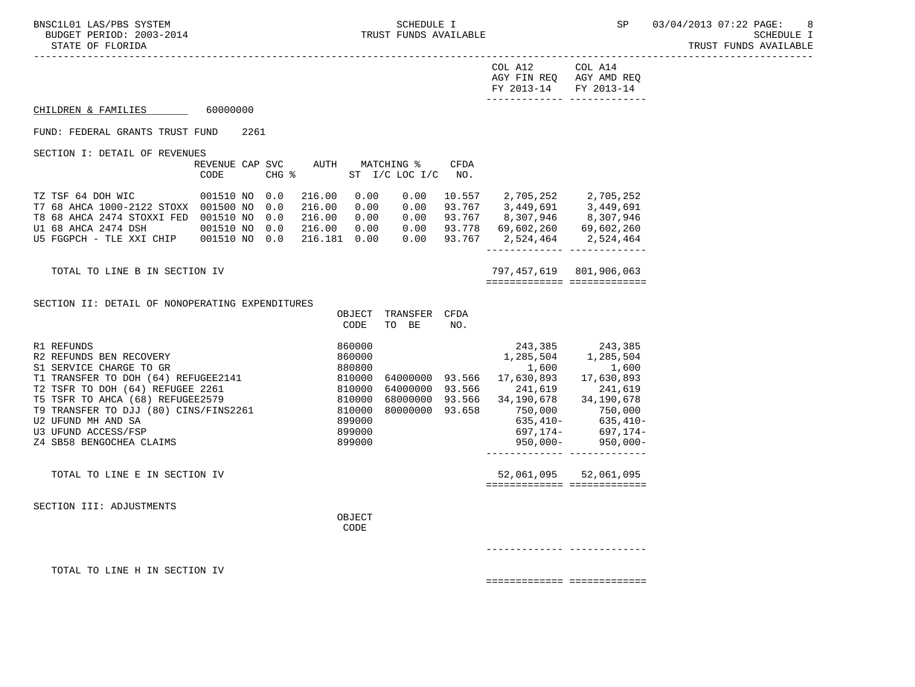| FY 2013-14 FY 2013-14   |         |
|-------------------------|---------|
| AGY FIN REO AGY AMD REO |         |
| COL A12                 | COL A14 |

#### CHILDREN & FAMILIES 60000000

#### FUND: FEDERAL GRANTS TRUST FUND 2261

SECTION I: DETAIL OF REVENUES

|                            | REVENUE CAP SVC |                     | AUTH    | MATCHING % |                | CFDA   |            |            |
|----------------------------|-----------------|---------------------|---------|------------|----------------|--------|------------|------------|
|                            | CODE            | $CHG$ $\frac{1}{6}$ |         |            | ST I/C LOC I/C | NO.    |            |            |
| TZ TSF 64 DOH WIC          | 001510 NO       | 0.0                 | 216.00  | 0.00       | 0.00           | 10.557 | 2,705,252  | 2,705,252  |
| T7 68 AHCA 1000-2122 STOXX | 001500 NO       | 0.0                 | 216.00  | 0.00       | 0.00           | 93.767 | 3,449,691  | 3,449,691  |
| T8 68 AHCA 2474 STOXXI FED | 001510 NO       | 0.0                 | 216.00  | 0.00       | 0.00           | 93.767 | 8,307,946  | 8,307,946  |
| U1 68 AHCA 2474 DSH        | 001510 NO       | 0.0                 | 216.00  | 0.00       | 0.00           | 93.778 | 69,602,260 | 69,602,260 |
| U5 FGGPCH - TLE XXI CHIP   | 001510 NO       | 0.0                 | 216.181 | 0.00       | 0.00           | 93.767 | 2,524,464  | 2,524,464  |
|                            |                 |                     |         |            |                |        |            |            |

TOTAL TO LINE B IN SECTION IV 797, 457, 619 801, 906, 063 ============= =============

SECTION II: DETAIL OF NONOPERATING EXPENDITURES

|                                       | OBJECT | TRANSFER | CFDA   |             |             |
|---------------------------------------|--------|----------|--------|-------------|-------------|
|                                       | CODE   | BE<br>TO | NO.    |             |             |
|                                       |        |          |        |             |             |
| R1 REFUNDS                            | 860000 |          |        | 243,385     | 243,385     |
| R2 REFUNDS BEN RECOVERY               | 860000 |          |        | 1,285,504   | 1,285,504   |
| S1 SERVICE CHARGE TO GR               | 880800 |          |        | 1,600       | 1,600       |
| T1 TRANSFER TO DOH (64) REFUGEE2141   | 810000 | 64000000 | 93.566 | 17,630,893  | 17,630,893  |
| T2 TSFR TO DOH (64)<br>REFUGEE 2261   | 810000 | 64000000 | 93.566 | 241,619     | 241,619     |
| T5 TSFR TO AHCA (68) REFUGEE2579      | 810000 | 68000000 | 93.566 | 34,190,678  | 34,190,678  |
| T9 TRANSFER TO DJJ (80) CINS/FINS2261 | 810000 | 80000000 | 93.658 | 750,000     | 750,000     |
| U2 UFUND MH AND SA                    | 899000 |          |        | $635.410-$  | $635,410-$  |
| U3 UFUND ACCESS/FSP                   | 899000 |          |        | 697.174-    | 697.174-    |
| Z4 SB58 BENGOCHEA CLAIMS              | 899000 |          |        | $950.000 -$ | $950.000 -$ |
|                                       |        |          |        |             |             |
| TOTAL TO LINE E IN SECTION IV         |        |          |        | 52,061,095  | 52,061,095  |
|                                       |        |          |        |             |             |
|                                       |        |          |        |             |             |

SECTION III: ADJUSTMENTS

OBJECT **CODE** 

------------- -------------

TOTAL TO LINE H IN SECTION IV

============= =============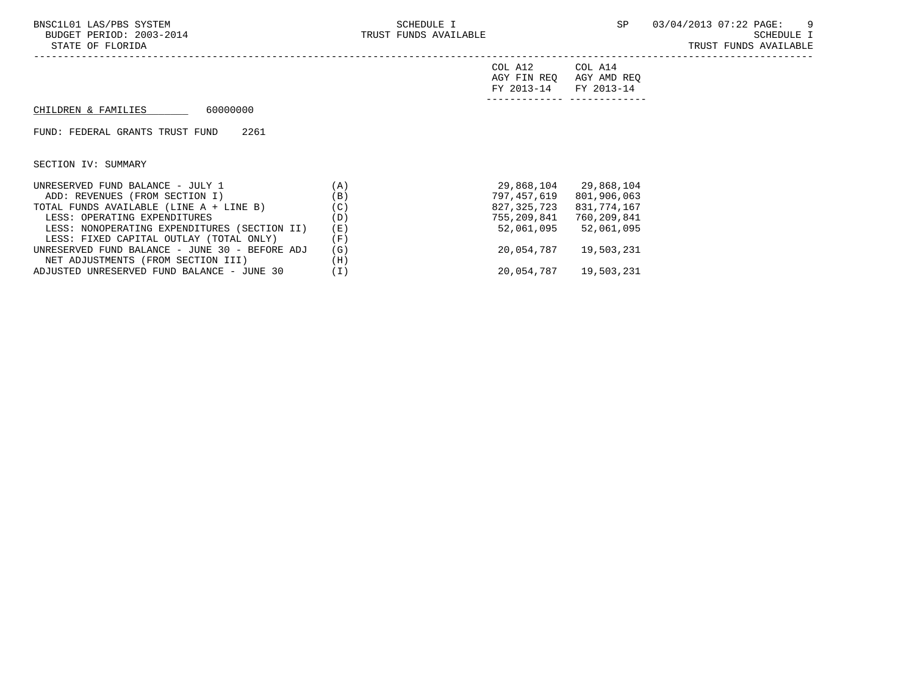| COL A12                 | COL A14 |
|-------------------------|---------|
| AGY FIN REQ AGY AMD REQ |         |
| FY 2013-14 FY 2013-14   |         |
|                         |         |

# $CHILDREN & FAMILIES$  60000000

FUND: FEDERAL GRANTS TRUST FUND 2261

| UNRESERVED FUND BALANCE - JULY 1               | (A)               | 29,868,104  | 29,868,104  |
|------------------------------------------------|-------------------|-------------|-------------|
| ADD: REVENUES (FROM SECTION I)                 | (B)               | 797,457,619 | 801,906,063 |
| TOTAL FUNDS AVAILABLE (LINE A + LINE B)        | $^{\prime}$ C $)$ | 827,325,723 | 831,774,167 |
| LESS: OPERATING EXPENDITURES                   | (D)               | 755,209,841 | 760,209,841 |
| LESS: NONOPERATING EXPENDITURES (SECTION II)   | (E)               | 52,061,095  | 52,061,095  |
| LESS: FIXED CAPITAL OUTLAY (TOTAL ONLY)        | 'F)               |             |             |
| UNRESERVED FUND BALANCE - JUNE 30 - BEFORE ADJ | (G)               | 20,054,787  | 19,503,231  |
| NET ADJUSTMENTS (FROM SECTION III)             | (H)               |             |             |
| ADJUSTED UNRESERVED FUND BALANCE - JUNE 30     | $\bot$ )          | 20,054,787  | 19,503,231  |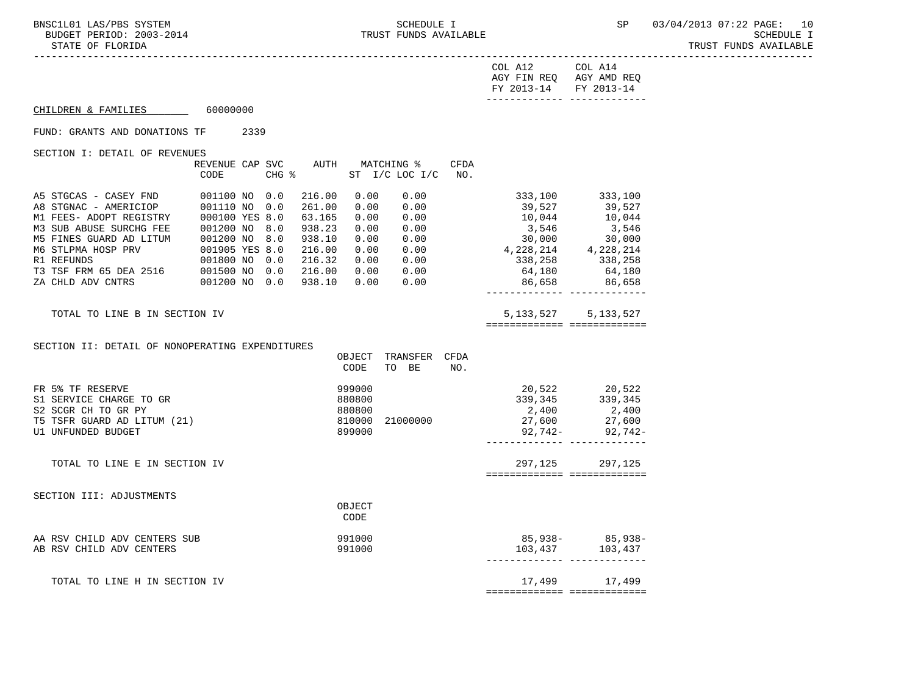STATE OF FLORIDA TRUST FUNDS AVAILABLE

-----------------------------------------------------------------------------------------------------------------------------------

| COL A12               | COL A14                 |
|-----------------------|-------------------------|
|                       | AGY FIN REQ AGY AMD REQ |
| FY 2013-14 FY 2013-14 |                         |
|                       |                         |

CHILDREN & FAMILIES 60000000

FUND: GRANTS AND DONATIONS TF 2339

SECTION I: DETAIL OF REVENUES

|                               | REVENUE CAP SVC |       | AUTH   |      | MATCHING %  | <b>CFDA</b> |             |             |
|-------------------------------|-----------------|-------|--------|------|-------------|-------------|-------------|-------------|
|                               | CODE            | CHG % |        | ST   | I/C LOC I/C | NO.         |             |             |
|                               |                 |       |        |      |             |             |             |             |
| A5 STGCAS - CASEY FND         | 001100 NO       | 0.0   | 216.00 | 0.00 | 0.00        |             | 333,100     | 333,100     |
| A8 STGNAC - AMERICIOP         | 001110 NO       | 0.0   | 261.00 | 0.00 | 0.00        |             | 39,527      | 39,527      |
| M1 FEES- ADOPT REGISTRY       | 000100 YES 8.0  |       | 63.165 | 0.00 | 0.00        |             | 10,044      | 10,044      |
| M3 SUB ABUSE SURCHG FEE       | 001200 NO       | 8.0   | 938.23 | 0.00 | 0.00        |             | 3,546       | 3,546       |
| M5 FINES GUARD AD LITUM       | 001200 NO       | 8.0   | 938.10 | 0.00 | 0.00        |             | 30,000      | 30,000      |
| M6 STLPMA HOSP PRV            | 001905 YES 8.0  |       | 216.00 | 0.00 | 0.00        |             | 4,228,214   | 4,228,214   |
| R1 REFUNDS                    | 001800 NO       | 0.0   | 216.32 | 0.00 | 0.00        |             | 338,258     | 338,258     |
| T3 TSF FRM 65 DEA 2516        | 001500 NO       | 0.0   | 216.00 | 0.00 | 0.00        |             | 64,180      | 64,180      |
| ZA CHLD ADV CNTRS             | 001200 NO       | 0.0   | 938.10 | 0.00 | 0.00        |             | 86,658      | 86,658      |
|                               |                 |       |        |      |             |             |             |             |
| TOTAL TO LINE B IN SECTION IV |                 |       |        |      |             |             | 5, 133, 527 | 5, 133, 527 |
|                               |                 |       |        |      |             |             |             |             |

SECTION II: DETAIL OF NONOPERATING EXPENDITURES

|                               | OBJECT | TRANSFER | <b>CFDA</b> |         |                     |
|-------------------------------|--------|----------|-------------|---------|---------------------|
|                               | CODE   | BE<br>TO | NO.         |         |                     |
| FR 5% TF RESERVE              | 999000 |          |             | 20,522  | 20,522              |
| S1 SERVICE CHARGE TO GR       | 880800 |          |             | 339,345 | 339,345             |
| S2 SCGR CH TO GR PY           | 880800 |          |             |         | 2,400 2,400         |
| T5 TSFR GUARD AD LITUM (21)   | 810000 | 21000000 |             | 27,600  | 27,600              |
| U1 UNFUNDED BUDGET            | 899000 |          |             |         | $92,742 - 92,742 -$ |
|                               |        |          |             |         |                     |
| TOTAL TO LINE E IN SECTION IV |        |          |             |         | 297, 125 297, 125   |
|                               |        |          |             |         |                     |
| SECTION III: ADJUSTMENTS      |        |          |             |         |                     |
|                               | OBJECT |          |             |         |                     |
|                               | CODE   |          |             |         |                     |
|                               |        |          |             |         |                     |
| AA RSV CHILD ADV CENTERS SUB  | 991000 |          |             |         | 85,938- 85,938-     |
| AB RSV CHILD ADV CENTERS      | 991000 |          |             | 103,437 | 103,437             |
|                               |        |          |             |         |                     |
| TOTAL TO LINE H IN SECTION IV |        |          |             | 17,499  | 17,499              |
|                               |        |          |             |         |                     |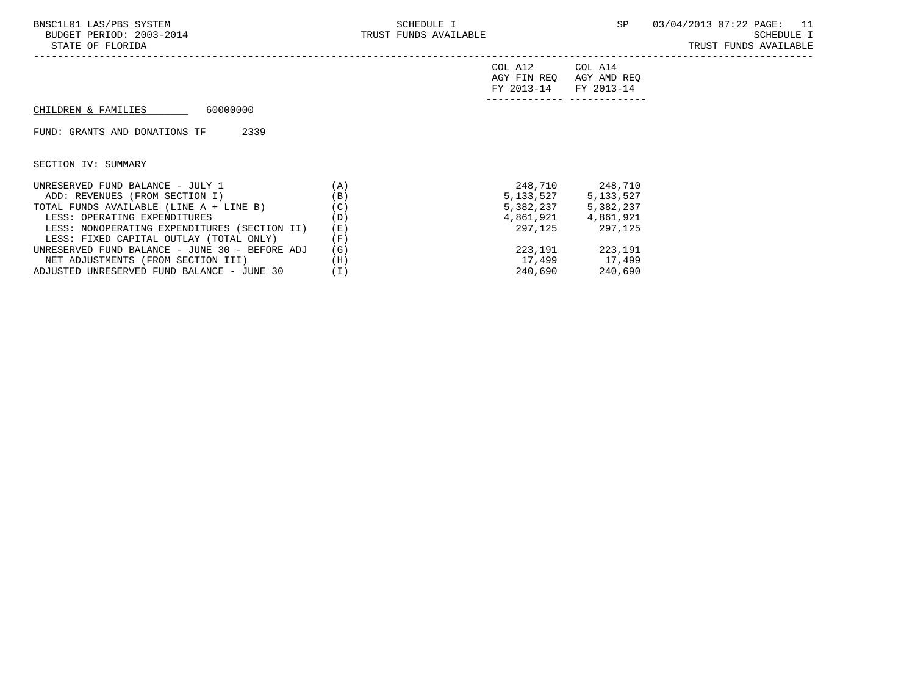TRUST FUNDS AVAILABLE

| COL A12                 | COL A14 |
|-------------------------|---------|
| AGY FIN REQ AGY AMD REQ |         |
| FY 2013-14 FY 2013-14   |         |
|                         |         |

#### CHILDREN & FAMILIES 60000000

FUND: GRANTS AND DONATIONS TF 2339

| UNRESERVED FUND BALANCE - JULY 1               | (A) | 248,710     | 248,710   |
|------------------------------------------------|-----|-------------|-----------|
| ADD: REVENUES (FROM SECTION I)                 | (B) | 5, 133, 527 | 5,133,527 |
| TOTAL FUNDS AVAILABLE (LINE A + LINE B)        | (C) | 5,382,237   | 5,382,237 |
| LESS: OPERATING EXPENDITURES                   | (D) | 4,861,921   | 4,861,921 |
| LESS: NONOPERATING EXPENDITURES (SECTION II)   | (E) | 297,125     | 297.125   |
| LESS: FIXED CAPITAL OUTLAY (TOTAL ONLY)        | 'F) |             |           |
| UNRESERVED FUND BALANCE - JUNE 30 - BEFORE ADJ | (G) | 223,191     | 223,191   |
| NET ADJUSTMENTS (FROM SECTION III)             | (H) | 17,499      | 17,499    |
| ADJUSTED UNRESERVED FUND BALANCE - JUNE 30     | (I) | 240,690     | 240,690   |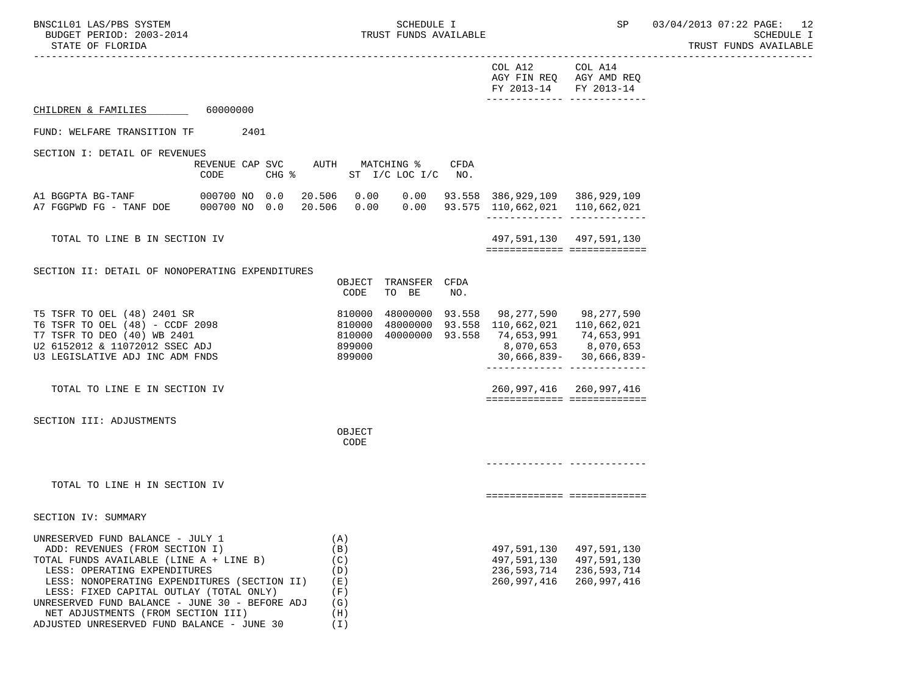BNSC1L01 LAS/PBS SYSTEM SOHEDULE I SCHEDULE I SP 03/04/2013 07:22 PAGE: 12<br>BUDGET PERIOD: 2003-2014 TRUST FUNDS AVAILABLE TRUST FUNDS AVAILABLE **EXECUTE I** STATE OF FLORIDA AND SUMMISSION CONTROL STATE OF FUNDS AVAILABLE

 ----------------------------------------------------------------------------------------------------------------------------------- COL A12 COL A14 AGY FIN REQ AGY AMD REQ FY 2013-14 FY 2013-14 ------------- ------------- CHILDREN & FAMILIES 60000000

FUND: WELFARE TRANSITION TF 2401

SECTION I: DETAIL OF REVENUES

 REVENUE CAP SVC AUTH MATCHING % CFDA CODE CHG % ST I/C LOC I/C NO.

 A1 BGGPTA BG-TANF 000700 NO 0.0 20.506 0.00 0.00 93.558 386,929,109 386,929,109 A7 FGGPWD FG - TANF DOE 000700 NO 0.0 20.506 0.00 0.00 93.575 110,662,021 110,662,021 ------------- -------------

TOTAL TO LINE B IN SECTION IV  $497,591,130$   $497,591,130$ ============= =============

SECTION II: DETAIL OF NONOPERATING EXPENDITURES

|                                 | OBJECT | TRANSFER        | CFDA |               |               |
|---------------------------------|--------|-----------------|------|---------------|---------------|
|                                 | CODE   | TO BE           | NO.  |               |               |
| T5 TSFR TO OEL (48) 2401 SR     | 810000 | 48000000 93.558 |      | 98,277,590    | 98,277,590    |
| T6 TSFR TO OEL (48) - CCDF 2098 | 810000 | 48000000 93.558 |      | 110,662,021   | 110,662,021   |
| T7 TSFR TO DEO (40) WB 2401     | 810000 | 40000000 93.558 |      | 74,653,991    | 74,653,991    |
| U2 6152012 & 11072012 SSEC ADJ  | 899000 |                 |      | 8,070,653     | 8,070,653     |
| U3 LEGISLATIVE ADJ INC ADM FNDS | 899000 |                 |      | $30,666,839-$ | $30,666,839-$ |
|                                 |        |                 |      |               |               |
| TOTAL TO LINE E IN SECTION IV   |        |                 |      | 260,997,416   | 260,997,416   |

SECTION III: ADJUSTMENTS

OBJECT **CODE** 

------------- -------------

============= =============

============= =============

TOTAL TO LINE H IN SECTION IV

| UNRESERVED FUND BALANCE - JULY 1               | Ά.   |             |             |
|------------------------------------------------|------|-------------|-------------|
| ADD: REVENUES (FROM SECTION I)                 | (B)  | 497,591,130 | 497,591,130 |
| TOTAL FUNDS AVAILABLE (LINE A + LINE B)        | (C)  | 497,591,130 | 497,591,130 |
| LESS: OPERATING EXPENDITURES                   | (D)  | 236,593,714 | 236,593,714 |
| LESS: NONOPERATING EXPENDITURES (SECTION II)   | (E)  | 260,997,416 | 260.997.416 |
| LESS: FIXED CAPITAL OUTLAY (TOTAL ONLY)        | 'F ) |             |             |
| UNRESERVED FUND BALANCE - JUNE 30 - BEFORE ADJ | (G)  |             |             |
| NET ADJUSTMENTS (FROM SECTION III)             | (H)  |             |             |
| ADJUSTED UNRESERVED FUND BALANCE - JUNE 30     |      |             |             |

| 497,591,130 | 497,591,130 |
|-------------|-------------|
| 497,591,130 | 497,591,130 |
| 236,593,714 | 236,593,714 |
| 260,997,416 | 260,997,416 |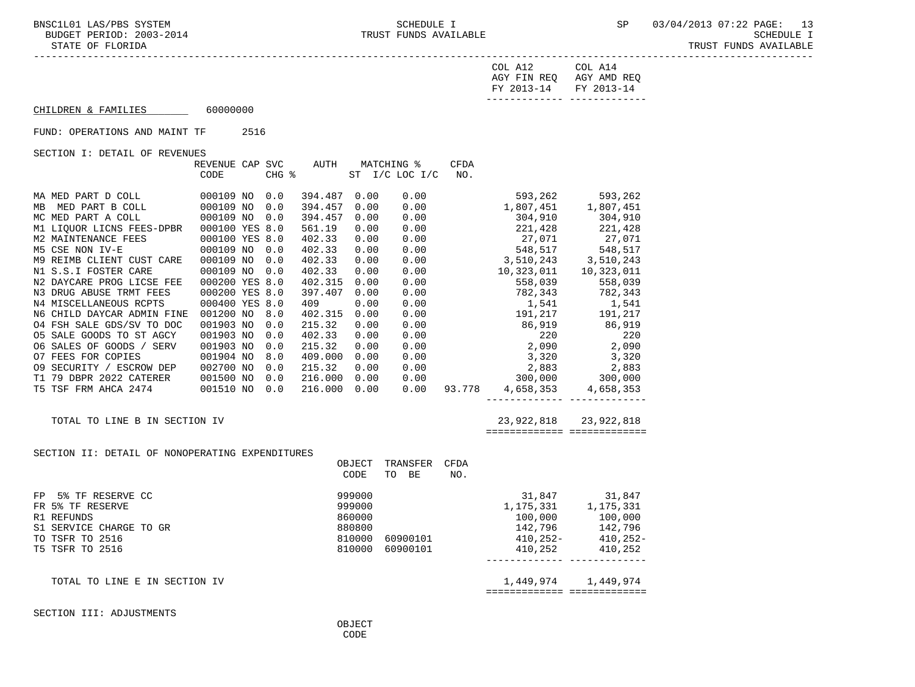| FY 2013-14 FY 2013-14 |                         |
|-----------------------|-------------------------|
|                       | AGY FIN REQ AGY AMD REQ |
| COL A12               | COL A14                 |

# $CHILDREN & FAMILIES$  60000000

FUND: OPERATIONS AND MAINT TF 2516

SECTION I: DETAIL OF REVENUES

|                               | REVENUE CAP    | SVC   | AUTH    |      | MATCHING %     | <b>CFDA</b> |            |            |
|-------------------------------|----------------|-------|---------|------|----------------|-------------|------------|------------|
|                               | CODE           | CHG % |         |      | ST I/C LOC I/C | NO.         |            |            |
|                               |                |       |         |      |                |             |            |            |
| MA MED PART D COLL            | 000109 NO      | 0.0   | 394.487 | 0.00 | 0.00           |             | 593,262    | 593,262    |
| MED PART B COLL<br>MB         | 000109 NO      | 0.0   | 394.457 | 0.00 | 0.00           |             | 1,807,451  | 1,807,451  |
| MC MED PART A COLL            | 000109 NO      | 0.0   | 394.457 | 0.00 | 0.00           |             | 304,910    | 304,910    |
| M1 LIOUOR LICNS FEES-DPBR     | 000100 YES 8.0 |       | 561.19  | 0.00 | 0.00           |             | 221,428    | 221,428    |
| M2 MAINTENANCE FEES           | 000100 YES 8.0 |       | 402.33  | 0.00 | 0.00           |             | 27,071     | 27,071     |
| M5 CSE NON IV-E               | 000109 NO      | 0.0   | 402.33  | 0.00 | 0.00           |             | 548,517    | 548,517    |
| M9 REIMB CLIENT CUST CARE     | 000109 NO      | 0.0   | 402.33  | 0.00 | 0.00           |             | 3,510,243  | 3,510,243  |
| N1 S.S.I FOSTER CARE          | 000109 NO      | 0.0   | 402.33  | 0.00 | 0.00           |             | 10,323,011 | 10,323,011 |
| N2 DAYCARE PROG LICSE FEE     | 000200 YES 8.0 |       | 402.315 | 0.00 | 0.00           |             | 558,039    | 558,039    |
| N3 DRUG ABUSE TRMT FEES       | 000200 YES 8.0 |       | 397.407 | 0.00 | 0.00           |             | 782,343    | 782,343    |
| N4 MISCELLANEOUS RCPTS        | 000400 YES 8.0 |       | 409     | 0.00 | 0.00           |             | 1,541      | 1,541      |
| N6 CHILD DAYCAR ADMIN FINE    | 001200 NO      | 8.0   | 402.315 | 0.00 | 0.00           |             | 191,217    | 191,217    |
| 04 FSH SALE GDS/SV TO DOC     | 001903 NO      | 0.0   | 215.32  | 0.00 | 0.00           |             | 86,919     | 86,919     |
| 05 SALE GOODS TO ST AGCY      | 001903 NO      | 0.0   | 402.33  | 0.00 | 0.00           |             | 220        | 220        |
| 06 SALES OF GOODS /<br>SERV   | 001903 NO      | 0.0   | 215.32  | 0.00 | 0.00           |             | 2,090      | 2,090      |
| <b>07 FEES FOR COPIES</b>     | 001904 NO      | 8.0   | 409.000 | 0.00 | 0.00           |             | 3,320      | 3,320      |
| 09 SECURITY / ESCROW DEP      | 002700 NO      | 0.0   | 215.32  | 0.00 | 0.00           |             | 2,883      | 2,883      |
| 79 DBPR 2022 CATERER<br>T1    | 001500 NO      | 0.0   | 216.000 | 0.00 | 0.00           |             | 300,000    | 300,000    |
| T5 TSF FRM AHCA 2474          | 001510 NO      | 0.0   | 216.000 | 0.00 | 0.00           | 93.778      | 4,658,353  | 4,658,353  |
|                               |                |       |         |      |                |             |            |            |
|                               |                |       |         |      |                |             |            |            |
| TOTAL TO LINE B IN SECTION IV |                |       |         |      |                |             | 23,922,818 | 23,922,818 |

============= =============

#### SECTION II: DETAIL OF NONOPERATING EXPENDITURES

|                         | OBJECT<br>CODE | TRANSFER<br>TO BE | CFDA<br>NO. |             |             |
|-------------------------|----------------|-------------------|-------------|-------------|-------------|
| 5% TF RESERVE CC<br>FP  | 999000         |                   |             | 31,847      | 31,847      |
| FR 5% TF RESERVE        | 999000         |                   |             | 1,175,331   | 1,175,331   |
| R1 REFUNDS              | 860000         |                   |             | 100,000     | 100,000     |
| S1 SERVICE CHARGE TO GR | 880800         |                   |             | 142,796     | 142,796     |
| TO TSFR TO 2516         | 810000         | 60900101          |             | $410.252 -$ | $410.252 -$ |
| T5 TSFR TO 2516         | 810000         | 60900101          |             | 410,252     | 410,252     |
|                         |                |                   |             |             |             |

| TOTAL<br>m۵<br>$\sim$<br>ON<br>NH:<br>- HI ( 1<br>N. | 444<br>444<br>-<br><b>__</b>                                        |
|------------------------------------------------------|---------------------------------------------------------------------|
|                                                      | --------------<br>_____________<br>-------------<br>_______________ |

SECTION III: ADJUSTMENTS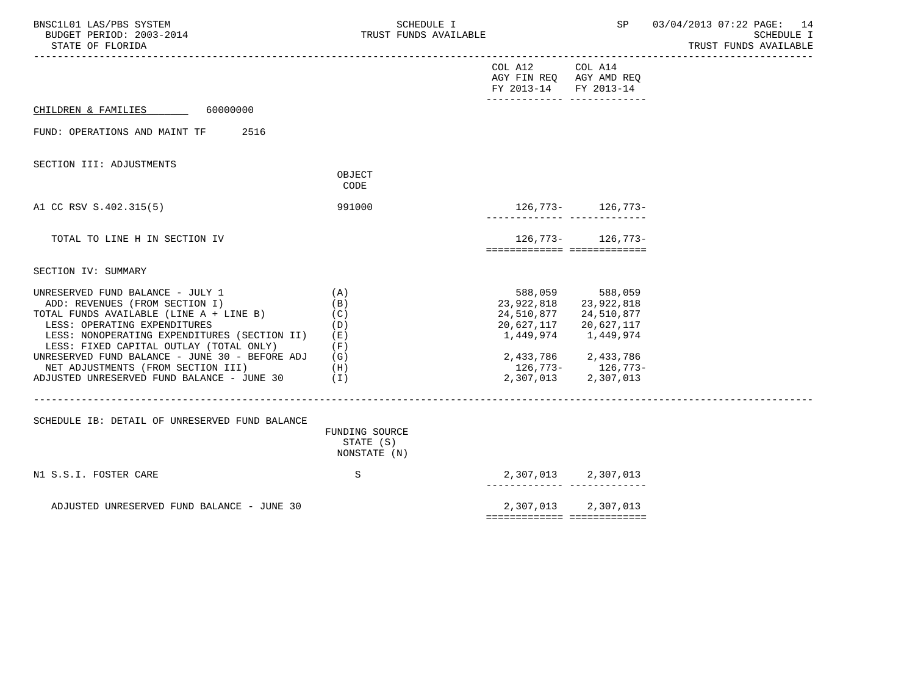| BNSC1L01 LAS/PBS SYSTEM<br>BUDGET PERIOD: 2003-2014<br>STATE OF FLORIDA                                                                                                                                                                                                                                                                                                              |                                                      | SCHEDULE I<br>TRUST FUNDS AVAILABLE |                                                             | SP                                                                                                                                                  | 03/04/2013 07:22 PAGE: 14<br>SCHEDULE I<br>TRUST FUNDS AVAILABLE |
|--------------------------------------------------------------------------------------------------------------------------------------------------------------------------------------------------------------------------------------------------------------------------------------------------------------------------------------------------------------------------------------|------------------------------------------------------|-------------------------------------|-------------------------------------------------------------|-----------------------------------------------------------------------------------------------------------------------------------------------------|------------------------------------------------------------------|
|                                                                                                                                                                                                                                                                                                                                                                                      |                                                      |                                     | COL A12<br>AGY FIN REQ AGY AMD REQ<br>FY 2013-14 FY 2013-14 | COL A14                                                                                                                                             |                                                                  |
| CHILDREN & FAMILIES 60000000                                                                                                                                                                                                                                                                                                                                                         |                                                      |                                     |                                                             |                                                                                                                                                     |                                                                  |
| FUND: OPERATIONS AND MAINT TF<br>2516                                                                                                                                                                                                                                                                                                                                                |                                                      |                                     |                                                             |                                                                                                                                                     |                                                                  |
| SECTION III: ADJUSTMENTS                                                                                                                                                                                                                                                                                                                                                             | OBJECT<br>CODE                                       |                                     |                                                             |                                                                                                                                                     |                                                                  |
| A1 CC RSV S.402.315(5)                                                                                                                                                                                                                                                                                                                                                               | 991000                                               |                                     |                                                             | 126, 773 - 126, 773 -                                                                                                                               |                                                                  |
| TOTAL TO LINE H IN SECTION IV                                                                                                                                                                                                                                                                                                                                                        |                                                      |                                     |                                                             | $126,773-126,773-$<br>============================                                                                                                  |                                                                  |
| SECTION IV: SUMMARY                                                                                                                                                                                                                                                                                                                                                                  |                                                      |                                     |                                                             |                                                                                                                                                     |                                                                  |
| UNRESERVED FUND BALANCE - JULY 1<br>ADD: REVENUES (FROM SECTION I)<br>TOTAL FUNDS AVAILABLE (LINE A + LINE B)<br>LESS: OPERATING EXPENDITURES<br>LESS: NONOPERATING EXPENDITURES (SECTION II)<br>LESS: FIXED CAPITAL OUTLAY (TOTAL ONLY)<br>UNRESERVED FUND BALANCE - JUNE 30 - BEFORE ADJ<br>NET ADJUSTMENTS (FROM SECTION III)<br>ADJUSTED UNRESERVED FUND BALANCE - JUNE $30$ (I) | (A)<br>(B)<br>(C)<br>(D)<br>(E)<br>(F)<br>(G)<br>(H) |                                     | 23,922,818<br>24,510,877<br>20,627,117                      | 588,059 588,059<br>23,922,818<br>24,510,877<br>20,627,117<br>1,449,974 1,449,974<br>2,433,786 2,433,786<br>126,773- 126,773-<br>2,307,013 2,307,013 |                                                                  |
| SCHEDULE IB: DETAIL OF UNRESERVED FUND BALANCE                                                                                                                                                                                                                                                                                                                                       |                                                      |                                     |                                                             |                                                                                                                                                     |                                                                  |
|                                                                                                                                                                                                                                                                                                                                                                                      | FUNDING SOURCE<br>STATE (S)<br>NONSTATE (N)          |                                     |                                                             |                                                                                                                                                     |                                                                  |
| N1 S.S.I. FOSTER CARE                                                                                                                                                                                                                                                                                                                                                                | S                                                    |                                     |                                                             | 2,307,013 2,307,013<br>--------- --------------                                                                                                     |                                                                  |
| ADJUSTED UNRESERVED FUND BALANCE - JUNE 30                                                                                                                                                                                                                                                                                                                                           |                                                      |                                     |                                                             | 2,307,013 2,307,013<br>============================                                                                                                 |                                                                  |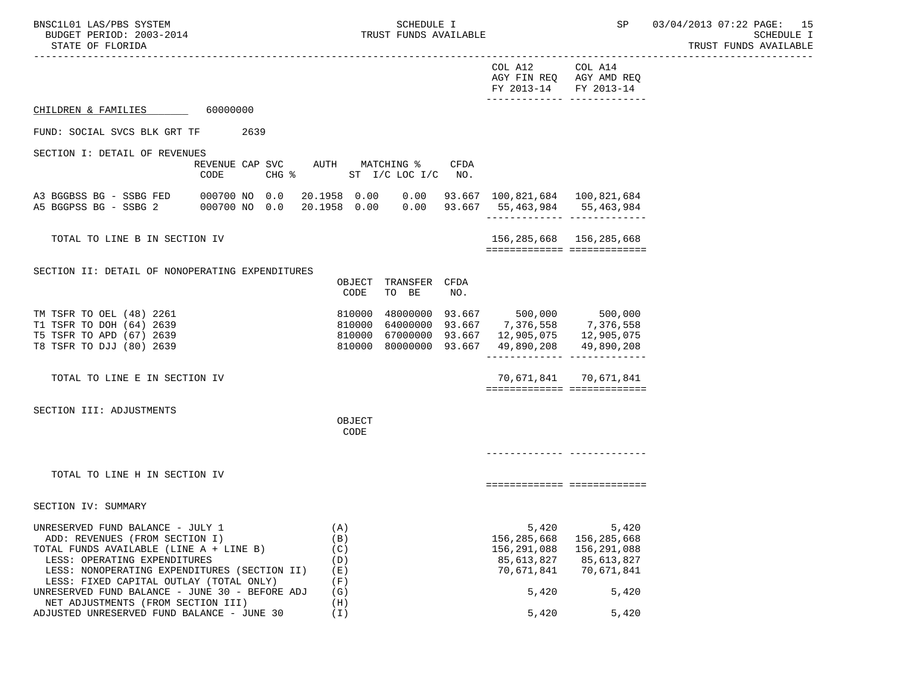SECTION IV: SUMMARY

BNSC1L01 LAS/PBS SYSTEM STRAND STRAND SCHEDULE I SCHEDULE I SP 03/04/2013 07:22 PAGE: 15 BUDGET PERIOD: 2003-2014 TRUST FUNDS AVAILABLE SCHEDULE I STATE OF FLORIDA AND SUMMISSION CONTROL STATE OF FUNDS AVAILABLE

 ----------------------------------------------------------------------------------------------------------------------------------- COL A12 COL A14

|                                                                                                                                                                              |                                         |                 |                  |                               |             | COL A12 COL A14<br>AGY FIN REQ AGY AMD REQ<br>FY 2013-14 FY 2013-14 |                       |
|------------------------------------------------------------------------------------------------------------------------------------------------------------------------------|-----------------------------------------|-----------------|------------------|-------------------------------|-------------|---------------------------------------------------------------------|-----------------------|
| CHILDREN & FAMILIES 60000000                                                                                                                                                 |                                         |                 |                  |                               |             |                                                                     |                       |
| FUND: SOCIAL SVCS BLK GRT TF 2639                                                                                                                                            |                                         |                 |                  |                               |             |                                                                     |                       |
| SECTION I: DETAIL OF REVENUES                                                                                                                                                |                                         |                 |                  |                               |             |                                                                     |                       |
|                                                                                                                                                                              | REVENUE CAP SVC AUTH MATCHING %<br>CODE | $CHG$ $\approx$ |                  | ST I/C LOC I/C                | CFDA<br>NO. |                                                                     |                       |
| A3 BGGBSS BG - SSBG FED 000700 NO 0.0 20.1958 0.00 0.00 93.667 100,821,684 100,821,684<br>A5 BGGPSS BG - SSBG 2 000700 NO 0.0 20.1958 0.00 0.00 93.667 55,463,984 55,463,984 |                                         |                 |                  |                               |             |                                                                     |                       |
| TOTAL TO LINE B IN SECTION IV                                                                                                                                                |                                         |                 |                  |                               |             | 156, 285, 668 156, 285, 668<br>=============================        |                       |
|                                                                                                                                                                              |                                         |                 |                  |                               |             |                                                                     |                       |
| SECTION II: DETAIL OF NONOPERATING EXPENDITURES                                                                                                                              |                                         |                 |                  |                               |             |                                                                     |                       |
|                                                                                                                                                                              |                                         |                 | CODE             | OBJECT TRANSFER CFDA<br>TO BE | NO.         |                                                                     |                       |
| TM TSFR TO OEL (48) 2261                                                                                                                                                     |                                         |                 | 810000           |                               |             | 48000000 93.667 500,000 500,000                                     |                       |
| T1 TSFR TO DOH (64) 2639                                                                                                                                                     |                                         |                 | 810000           |                               |             | 64000000 93.667 7,376,558 7,376,558                                 |                       |
| T5 TSFR TO APD (67) 2639<br>T8 TSFR TO DJJ (80) 2639                                                                                                                         |                                         |                 | 810000<br>810000 | 80000000 93.667               |             | 67000000 93.667 12,905,075 12,905,075                               | 49,890,208 49,890,208 |
|                                                                                                                                                                              |                                         |                 |                  |                               |             |                                                                     |                       |
| TOTAL TO LINE E IN SECTION IV                                                                                                                                                |                                         |                 |                  |                               |             | ============================                                        | 70,671,841 70,671,841 |
|                                                                                                                                                                              |                                         |                 |                  |                               |             |                                                                     |                       |
| SECTION III: ADJUSTMENTS                                                                                                                                                     |                                         |                 | OBJECT           |                               |             |                                                                     |                       |

**CODE** 

TOTAL TO LINE H IN SECTION IV

============= =============

------------- -------------

| UNRESERVED FUND BALANCE - JULY 1               | ΄Α.  | 5,420       | 5,420       |
|------------------------------------------------|------|-------------|-------------|
| ADD: REVENUES (FROM SECTION I)                 | (B)  | 156,285,668 | 156,285,668 |
| TOTAL FUNDS AVAILABLE (LINE A + LINE B)        | (C)  | 156,291,088 | 156,291,088 |
| LESS: OPERATING EXPENDITURES                   | (D)  | 85,613,827  | 85,613,827  |
| LESS: NONOPERATING EXPENDITURES (SECTION II)   | (E)  | 70,671,841  | 70.671.841  |
| LESS: FIXED CAPITAL OUTLAY (TOTAL ONLY)        | 'F ) |             |             |
| UNRESERVED FUND BALANCE - JUNE 30 - BEFORE ADJ | (G)  | 5,420       | 5,420       |
| NET ADJUSTMENTS (FROM SECTION III)             | (H)  |             |             |
| ADJUSTED UNRESERVED FUND BALANCE - JUNE 30     |      | 5,420       | 5.420       |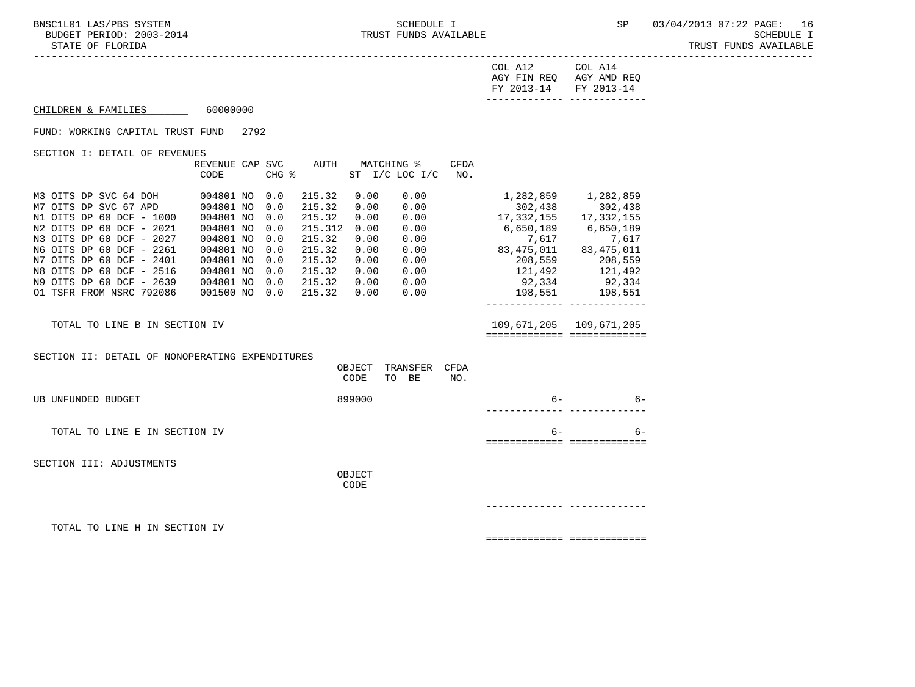| COL A12               | COL A14                 |
|-----------------------|-------------------------|
|                       | AGY FIN REQ AGY AMD REQ |
| FY 2013-14 FY 2013-14 |                         |
|                       |                         |

CHILDREN & FAMILIES 60000000

FUND: WORKING CAPITAL TRUST FUND 2792

SECTION I: DETAIL OF REVENUES

|                              | REVENUE CAP | <b>SVC</b> | AUTH    | MATCHING % |                 | <b>CFDA</b> |              |              |
|------------------------------|-------------|------------|---------|------------|-----------------|-------------|--------------|--------------|
|                              | CODE        | CHG %      |         | ST         | $I/C$ LOC $I/C$ | NO.         |              |              |
| M3 OITS DP SVC 64 DOH        | 004801 NO   | 0.0        | 215.32  | 0.00       | 0.00            |             | 1,282,859    | 1,282,859    |
| M7 OITS DP SVC 67 APD        | 004801 NO   | 0.0        | 215.32  | 0.00       | 0.00            |             | 302,438      | 302,438      |
| N1 OITS DP 60 DCF<br>$-1000$ | 004801 NO   | 0.0        | 215.32  | 0.00       | 0.00            |             | 17, 332, 155 | 17, 332, 155 |
| N2 OITS DP 60 DCF - 2021     | 004801 NO   | 0.0        | 215.312 | 0.00       | 0.00            |             | 6,650,189    | 6,650,189    |
| N3 OITS DP 60 DCF - 2027     | 004801 NO   | 0.0        | 215.32  | 0.00       | 0.00            |             | 7,617        | 7,617        |
| N6 OITS DP 60 DCF - 2261     | 004801 NO   | 0.0        | 215.32  | 0.00       | 0.00            |             | 83, 475, 011 | 83, 475, 011 |
| N7 OITS DP 60 DCF - 2401     | 004801 NO   | 0.0        | 215.32  | 0.00       | 0.00            |             | 208,559      | 208,559      |
| N8 OITS DP 60 DCF - 2516     | 004801 NO   | 0.0        | 215.32  | 0.00       | 0.00            |             | 121,492      | 121,492      |
| N9 OITS DP 60 DCF - 2639     | 004801 NO   | 0.0        | 215.32  | 0.00       | 0.00            |             | 92,334       | 92,334       |
| 01 TSFR FROM NSRC 792086     | 001500 NO   | 0.0        | 215.32  | 0.00       | 0.00            |             | 198,551      | 198,551      |
|                              |             |            |         |            |                 |             |              |              |
|                              |             |            |         |            |                 |             |              |              |

 TOTAL TO LINE B IN SECTION IV 109,671,205 109,671,205 ============= =============

SECTION II: DETAIL OF NONOPERATING EXPENDITURES

|                               | OBJECT<br>CODE | TRANSFER<br>TO BE | CFDA<br>NO. |      |      |
|-------------------------------|----------------|-------------------|-------------|------|------|
| UB UNFUNDED BUDGET            | 899000         |                   |             | $6-$ | $6-$ |
| TOTAL TO LINE E IN SECTION IV |                |                   |             | $6-$ | $6-$ |
| SECTION III: ADJUSTMENTS      |                |                   |             |      |      |

OBJECT

**CODE** 

------------- -------------

TOTAL TO LINE H IN SECTION IV

============= =============